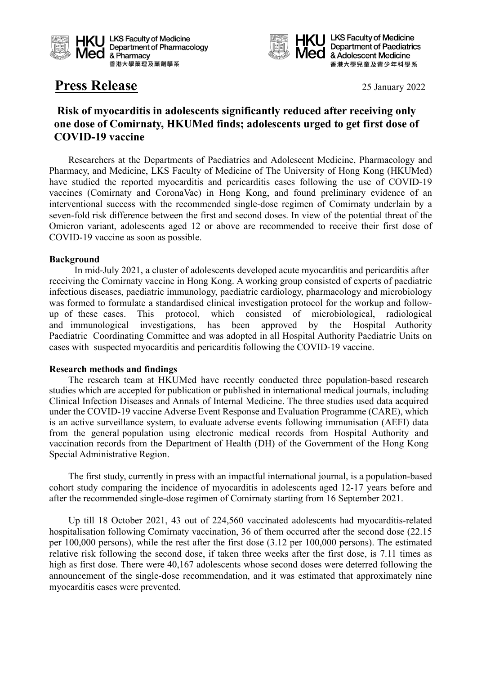



**HKU** LKS Faculty of Medicine **Department of Paediatrics** Med & Adolescent Medicine 香港大學兒童及青少年科學系

# **Press Release** 25 January 2022

## **Risk of myocarditis in adolescents significantly reduced after receiving only one dose of Comirnaty, HKUMed finds; adolescents urged to get first dose of COVID-19 vaccine**

Researchers at the Departments of Paediatrics and Adolescent Medicine, Pharmacology and Pharmacy, and Medicine, LKS Faculty of Medicine of The University of Hong Kong (HKUMed) have studied the reported myocarditis and pericarditis cases following the use of COVID-19 vaccines (Comirnaty and CoronaVac) in Hong Kong, and found preliminary evidence of an interventional success with the recommended single-dose regimen of Comirnaty underlain by a seven-fold risk difference between the first and second doses. In view of the potential threat of the Omicron variant, adolescents aged 12 or above are recommended to receive their first dose of COVID-19 vaccine as soon as possible.

### **Background**

In mid-July 2021, a cluster of adolescents developed acute myocarditis and pericarditis after receiving the Comirnaty vaccine in Hong Kong. A working group consisted of experts of paediatric infectious diseases, paediatric immunology, paediatric cardiology, pharmacology and microbiology was formed to formulate a standardised clinical investigation protocol for the workup and followup of these cases. This protocol, which consisted of microbiological, radiological and immunological investigations, has been approved by the Hospital Authority Paediatric Coordinating Committee and was adopted in all Hospital Authority Paediatric Units on cases with suspected myocarditis and pericarditis following the COVID-19 vaccine.

#### **Research methods and findings**

The research team at HKUMed have recently conducted three population-based research studies which are accepted for publication or published in international medical journals, including Clinical Infection Diseases and Annals of Internal Medicine. The three studies used data acquired under the COVID-19 vaccine Adverse Event Response and Evaluation Programme (CARE), which is an active surveillance system, to evaluate adverse events following immunisation (AEFI) data from the general population using electronic medical records from Hospital Authority and vaccination records from the Department of Health (DH) of the Government of the Hong Kong Special Administrative Region.

The first study, currently in press with an impactful international journal, is a population-based cohort study comparing the incidence of myocarditis in adolescents aged 12-17 years before and after the recommended single-dose regimen of Comirnaty starting from 16 September 2021.

Up till 18 October 2021, 43 out of 224,560 vaccinated adolescents had myocarditis-related hospitalisation following Comirnaty vaccination, 36 of them occurred after the second dose (22.15 per 100,000 persons), while the rest after the first dose (3.12 per 100,000 persons). The estimated relative risk following the second dose, if taken three weeks after the first dose, is 7.11 times as high as first dose. There were 40,167 adolescents whose second doses were deterred following the announcement of the single-dose recommendation, and it was estimated that approximately nine myocarditis cases were prevented.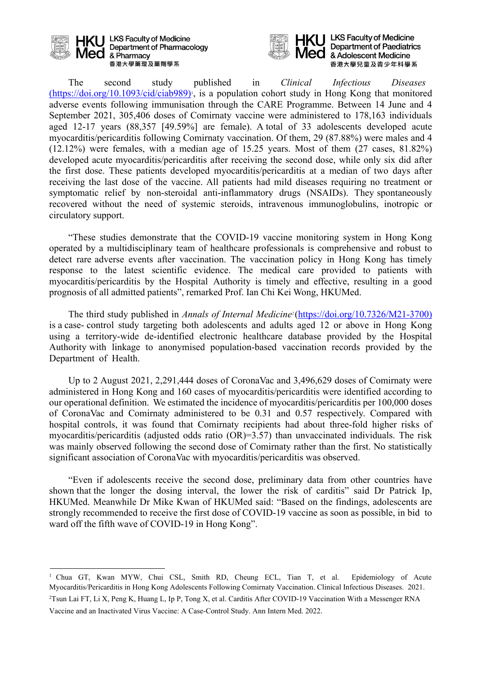

**HKU** LKS Faculty of Medicine Department of Pharmacology Med & Pharmacy 香港大學藥理及藥劑學系



**HKU** LKS Faculty of Medicine **Department of Paediatrics** & Adolescent Medicine 香港大學兒童及青少年科學系

The second study published in *Clinical Infectious Diseases* (https://doi.org/10.1093/cid/ciab989)<sup>1</sup>, is a population cohort study in Hong Kong that monitored adverse events following immunisation through the CARE Programme. Between 14 June and 4 September 2021, 305,406 doses of Comirnaty vaccine were administered to 178,163 individuals aged 12-17 years (88,357 [49.59%] are female). A total of 33 adolescents developed acute myocarditis/pericarditis following Comirnaty vaccination. Of them, 29 (87.88%) were males and 4 (12.12%) were females, with a median age of 15.25 years. Most of them (27 cases, 81.82%) developed acute myocarditis/pericarditis after receiving the second dose, while only six did after the first dose. These patients developed myocarditis/pericarditis at a median of two days after receiving the last dose of the vaccine. All patients had mild diseases requiring no treatment or symptomatic relief by non-steroidal anti-inflammatory drugs (NSAIDs). They spontaneously recovered without the need of systemic steroids, intravenous immunoglobulins, inotropic or circulatory support.

"These studies demonstrate that the COVID-19 vaccine monitoring system in Hong Kong operated by a multidisciplinary team of healthcare professionals is comprehensive and robust to detect rare adverse events after vaccination. The vaccination policy in Hong Kong has timely response to the latest scientific evidence. The medical care provided to patients with myocarditis/pericarditis by the Hospital Authority is timely and effective, resulting in a good prognosis of all admitted patients", remarked Prof. Ian Chi Kei Wong, HKUMed.

The third study published in *Annals of Internal Medicine2* [\(https://doi.org/10.7326/M21-3700\)](https://doi.org/10.7326/M21-3700)) is a case- control study targeting both adolescents and adults aged 12 or above in Hong Kong using a territory-wide de-identified electronic healthcare database provided by the Hospital Authority with linkage to anonymised population-based vaccination records provided by the Department of Health.

Up to 2 August 2021, 2,291,444 doses of CoronaVac and 3,496,629 doses of Comirnaty were administered in Hong Kong and 160 cases of myocarditis/pericarditis were identified according to our operational definition. We estimated the incidence of myocarditis/pericarditis per 100,000 doses of CoronaVac and Comirnaty administered to be 0.31 and 0.57 respectively. Compared with hospital controls, it was found that Comirnaty recipients had about three-fold higher risks of myocarditis/pericarditis (adjusted odds ratio (OR)=3.57) than unvaccinated individuals. The risk was mainly observed following the second dose of Comirnaty rather than the first. No statistically significant association of CoronaVac with myocarditis/pericarditis was observed.

"Even if adolescents receive the second dose, preliminary data from other countries have shown that the longer the dosing interval, the lower the risk of carditis" said Dr Patrick Ip, HKUMed. Meanwhile Dr Mike Kwan of HKUMed said: "Based on the findings, adolescents are strongly recommended to receive the first dose of COVID-19 vaccine as soon as possible, in bid to ward off the fifth wave of COVID-19 in Hong Kong".

<sup>1</sup> Chua GT, Kwan MYW, Chui CSL, Smith RD, Cheung ECL, Tian T, et al. Epidemiology of Acute Myocarditis/Pericarditis in Hong Kong Adolescents Following Comirnaty Vaccination. Clinical Infectious Diseases. 2021. 2Tsun Lai FT, Li X, Peng K, Huang L, Ip P, Tong X, et al. Carditis After COVID-19 Vaccination With a Messenger RNA

Vaccine and an Inactivated Virus Vaccine: A Case-Control Study. Ann Intern Med. 2022.